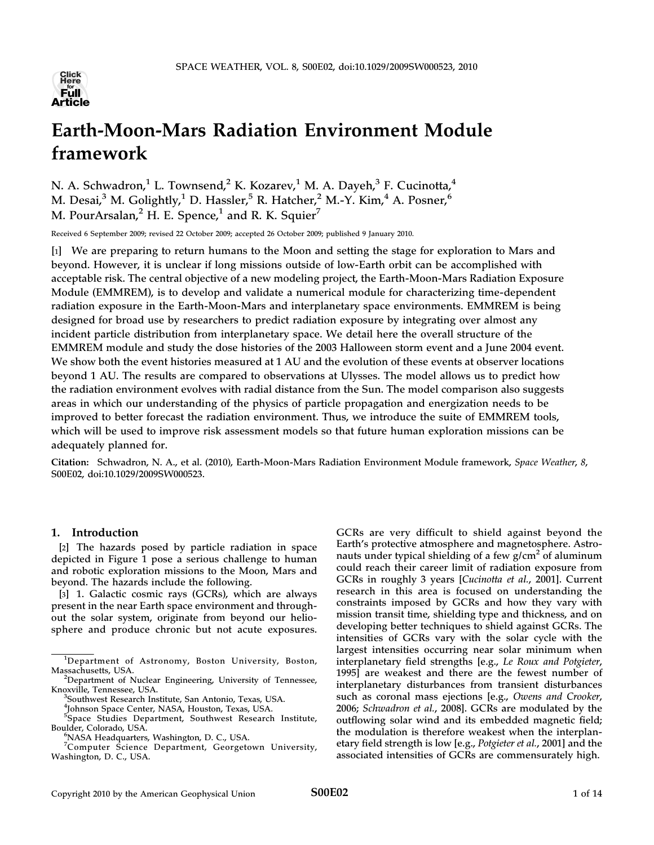

# Earth-Moon-Mars Radiation Environment Module framework

N. A. Schwadron,<sup>1</sup> L. Townsend,<sup>2</sup> K. Kozarev,<sup>1</sup> M. A. Dayeh,<sup>3</sup> F. Cucinotta,<sup>4</sup> M. Desai,<sup>3</sup> M. Golightly,<sup>1</sup> D. Hassler,<sup>5</sup> R. Hatcher,<sup>2</sup> M.-Y. Kim,<sup>4</sup> A. Posner,<sup>6</sup> M. PourArsalan, $^2$  H. E. Spence, $^1$  and R. K. Squier<sup>7</sup>

Received 6 September 2009; revised 22 October 2009; accepted 26 October 2009; published 9 January 2010.

[1] We are preparing to return humans to the Moon and setting the stage for exploration to Mars and beyond. However, it is unclear if long missions outside of low-Earth orbit can be accomplished with acceptable risk. The central objective of a new modeling project, the Earth-Moon-Mars Radiation Exposure Module (EMMREM), is to develop and validate a numerical module for characterizing time-dependent radiation exposure in the Earth-Moon-Mars and interplanetary space environments. EMMREM is being designed for broad use by researchers to predict radiation exposure by integrating over almost any incident particle distribution from interplanetary space. We detail here the overall structure of the EMMREM module and study the dose histories of the 2003 Halloween storm event and a June 2004 event. We show both the event histories measured at 1 AU and the evolution of these events at observer locations beyond 1 AU. The results are compared to observations at Ulysses. The model allows us to predict how the radiation environment evolves with radial distance from the Sun. The model comparison also suggests areas in which our understanding of the physics of particle propagation and energization needs to be improved to better forecast the radiation environment. Thus, we introduce the suite of EMMREM tools, which will be used to improve risk assessment models so that future human exploration missions can be adequately planned for.

Citation: Schwadron, N. A., et al. (2010), Earth-Moon-Mars Radiation Environment Module framework, Space Weather, 8, S00E02, doi:10.1029/2009SW000523.

# 1. Introduction

[2] The hazards posed by particle radiation in space depicted in Figure 1 pose a serious challenge to human and robotic exploration missions to the Moon, Mars and beyond. The hazards include the following.

[3] 1. Galactic cosmic rays (GCRs), which are always present in the near Earth space environment and throughout the solar system, originate from beyond our heliosphere and produce chronic but not acute exposures. GCRs are very difficult to shield against beyond the Earth's protective atmosphere and magnetosphere. Astronauts under typical shielding of a few  $g/cm<sup>2</sup>$  of aluminum could reach their career limit of radiation exposure from GCRs in roughly 3 years [Cucinotta et al., 2001]. Current research in this area is focused on understanding the constraints imposed by GCRs and how they vary with mission transit time, shielding type and thickness, and on developing better techniques to shield against GCRs. The intensities of GCRs vary with the solar cycle with the largest intensities occurring near solar minimum when interplanetary field strengths [e.g., Le Roux and Potgieter, 1995] are weakest and there are the fewest number of interplanetary disturbances from transient disturbances such as coronal mass ejections [e.g., Owens and Crooker, 2006; Schwadron et al., 2008]. GCRs are modulated by the outflowing solar wind and its embedded magnetic field; the modulation is therefore weakest when the interplanetary field strength is low [e.g., Potgieter et al., 2001] and the associated intensities of GCRs are commensurately high.

<sup>1</sup> Department of Astronomy, Boston University, Boston,

Massachusetts, USA. <sup>2</sup> Department of Nuclear Engineering, University of Tennessee, Knoxville, Tennessee, USA. <sup>3</sup>

Southwest Research Institute, San Antonio, Texas, USA.

<sup>4</sup> Johnson Space Center, NASA, Houston, Texas, USA.

<sup>&</sup>lt;sup>5</sup>Space Studies Department, Southwest Research Institute, Boulder, Colorado, USA. <sup>6</sup>

<sup>&</sup>lt;sup>6</sup>NASA Headquarters, Washington, D. C., USA.

<sup>7</sup> Computer Science Department, Georgetown University, Washington, D. C., USA.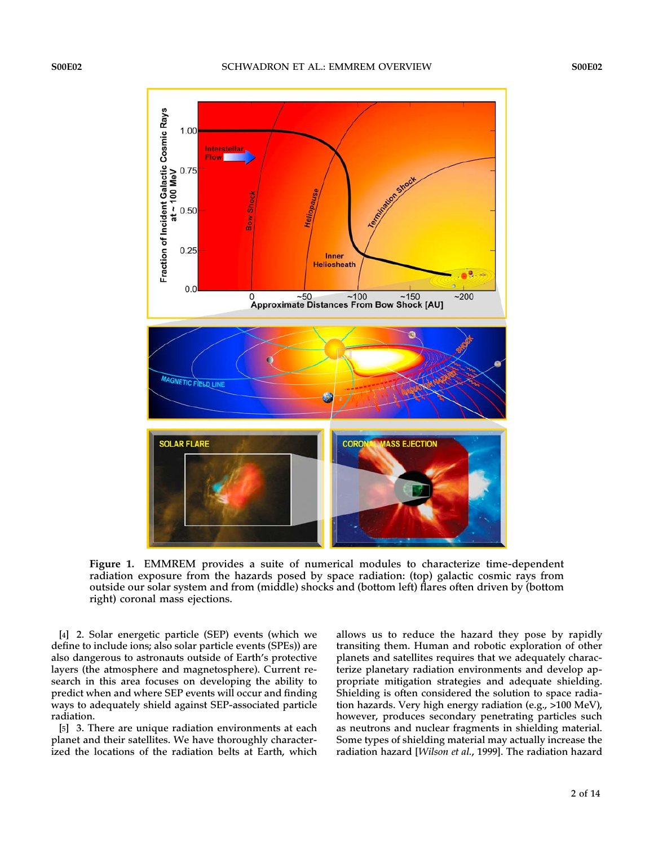

Figure 1. EMMREM provides a suite of numerical modules to characterize time-dependent radiation exposure from the hazards posed by space radiation: (top) galactic cosmic rays from outside our solar system and from (middle) shocks and (bottom left) flares often driven by (bottom right) coronal mass ejections.

[4] 2. Solar energetic particle (SEP) events (which we define to include ions; also solar particle events (SPEs)) are also dangerous to astronauts outside of Earth's protective layers (the atmosphere and magnetosphere). Current research in this area focuses on developing the ability to predict when and where SEP events will occur and finding ways to adequately shield against SEP-associated particle radiation.

[5] 3. There are unique radiation environments at each planet and their satellites. We have thoroughly characterized the locations of the radiation belts at Earth, which allows us to reduce the hazard they pose by rapidly transiting them. Human and robotic exploration of other planets and satellites requires that we adequately characterize planetary radiation environments and develop appropriate mitigation strategies and adequate shielding. Shielding is often considered the solution to space radiation hazards. Very high energy radiation (e.g., >100 MeV), however, produces secondary penetrating particles such as neutrons and nuclear fragments in shielding material. Some types of shielding material may actually increase the radiation hazard [Wilson et al., 1999]. The radiation hazard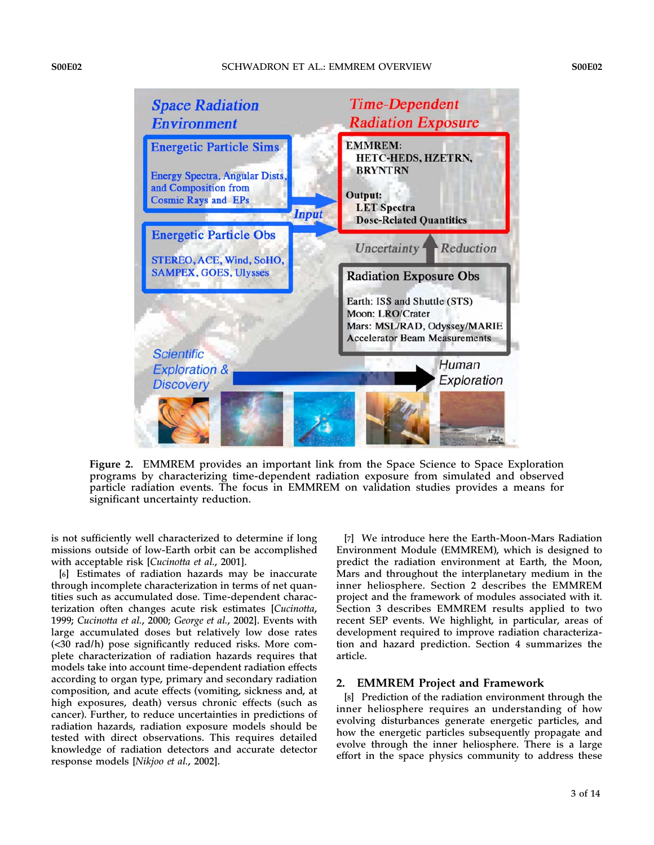

Figure 2. EMMREM provides an important link from the Space Science to Space Exploration programs by characterizing time-dependent radiation exposure from simulated and observed particle radiation events. The focus in EMMREM on validation studies provides a means for significant uncertainty reduction.

is not sufficiently well characterized to determine if long missions outside of low-Earth orbit can be accomplished with acceptable risk [Cucinotta et al., 2001].

[6] Estimates of radiation hazards may be inaccurate through incomplete characterization in terms of net quantities such as accumulated dose. Time-dependent characterization often changes acute risk estimates [Cucinotta, 1999; Cucinotta et al., 2000; George et al., 2002]. Events with large accumulated doses but relatively low dose rates (<30 rad/h) pose significantly reduced risks. More complete characterization of radiation hazards requires that models take into account time-dependent radiation effects according to organ type, primary and secondary radiation composition, and acute effects (vomiting, sickness and, at high exposures, death) versus chronic effects (such as cancer). Further, to reduce uncertainties in predictions of radiation hazards, radiation exposure models should be tested with direct observations. This requires detailed knowledge of radiation detectors and accurate detector response models [Nikjoo et al., 2002].

[7] We introduce here the Earth-Moon-Mars Radiation Environment Module (EMMREM), which is designed to predict the radiation environment at Earth, the Moon, Mars and throughout the interplanetary medium in the inner heliosphere. Section 2 describes the EMMREM project and the framework of modules associated with it. Section 3 describes EMMREM results applied to two recent SEP events. We highlight, in particular, areas of development required to improve radiation characterization and hazard prediction. Section 4 summarizes the article.

### 2. EMMREM Project and Framework

[8] Prediction of the radiation environment through the inner heliosphere requires an understanding of how evolving disturbances generate energetic particles, and how the energetic particles subsequently propagate and evolve through the inner heliosphere. There is a large effort in the space physics community to address these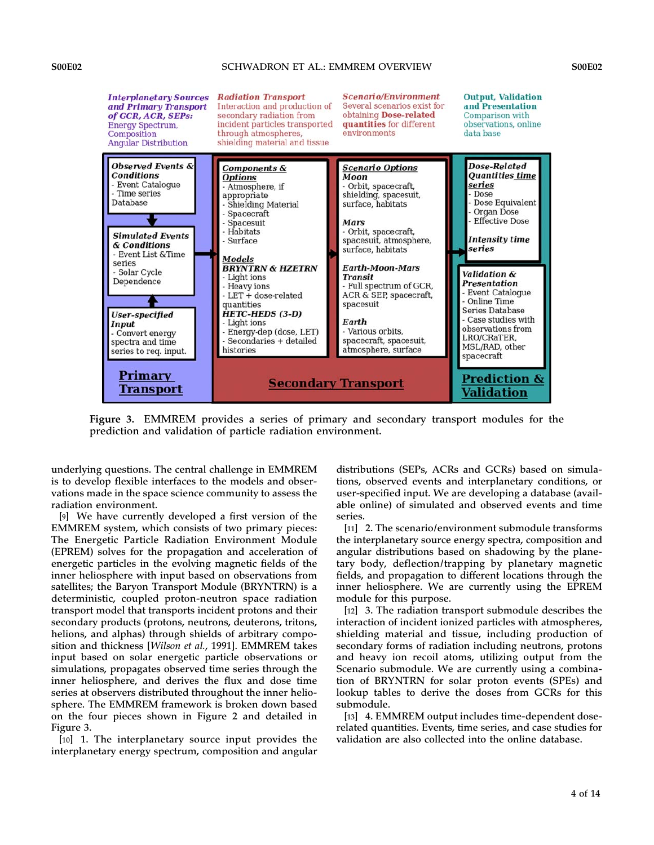

Figure 3. EMMREM provides a series of primary and secondary transport modules for the prediction and validation of particle radiation environment.

underlying questions. The central challenge in EMMREM is to develop flexible interfaces to the models and observations made in the space science community to assess the radiation environment.

[9] We have currently developed a first version of the EMMREM system, which consists of two primary pieces: The Energetic Particle Radiation Environment Module (EPREM) solves for the propagation and acceleration of energetic particles in the evolving magnetic fields of the inner heliosphere with input based on observations from satellites; the Baryon Transport Module (BRYNTRN) is a deterministic, coupled proton-neutron space radiation transport model that transports incident protons and their secondary products (protons, neutrons, deuterons, tritons, helions, and alphas) through shields of arbitrary composition and thickness [Wilson et al., 1991]. EMMREM takes input based on solar energetic particle observations or simulations, propagates observed time series through the inner heliosphere, and derives the flux and dose time series at observers distributed throughout the inner heliosphere. The EMMREM framework is broken down based on the four pieces shown in Figure 2 and detailed in Figure 3.

[10] 1. The interplanetary source input provides the interplanetary energy spectrum, composition and angular

distributions (SEPs, ACRs and GCRs) based on simulations, observed events and interplanetary conditions, or user-specified input. We are developing a database (available online) of simulated and observed events and time series.

[11] 2. The scenario/environment submodule transforms the interplanetary source energy spectra, composition and angular distributions based on shadowing by the planetary body, deflection/trapping by planetary magnetic fields, and propagation to different locations through the inner heliosphere. We are currently using the EPREM module for this purpose.

[12] 3. The radiation transport submodule describes the interaction of incident ionized particles with atmospheres, shielding material and tissue, including production of secondary forms of radiation including neutrons, protons and heavy ion recoil atoms, utilizing output from the Scenario submodule. We are currently using a combination of BRYNTRN for solar proton events (SPEs) and lookup tables to derive the doses from GCRs for this submodule.

[13] 4. EMMREM output includes time-dependent doserelated quantities. Events, time series, and case studies for validation are also collected into the online database.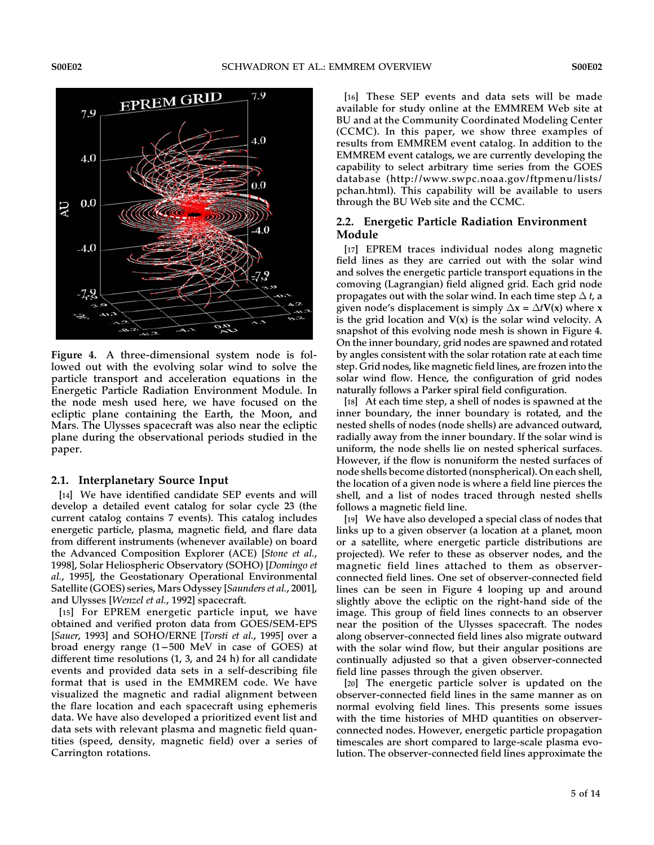

Figure 4. A three-dimensional system node is followed out with the evolving solar wind to solve the particle transport and acceleration equations in the Energetic Particle Radiation Environment Module. In the node mesh used here, we have focused on the ecliptic plane containing the Earth, the Moon, and Mars. The Ulysses spacecraft was also near the ecliptic plane during the observational periods studied in the paper.

#### 2.1. Interplanetary Source Input

[14] We have identified candidate SEP events and will develop a detailed event catalog for solar cycle 23 (the current catalog contains 7 events). This catalog includes energetic particle, plasma, magnetic field, and flare data from different instruments (whenever available) on board the Advanced Composition Explorer (ACE) [Stone et al., 1998], Solar Heliospheric Observatory (SOHO) [Domingo et al., 1995], the Geostationary Operational Environmental Satellite (GOES) series, Mars Odyssey [Saunders et al., 2001], and Ulysses [Wenzel et al., 1992] spacecraft.

[15] For EPREM energetic particle input, we have obtained and verified proton data from GOES/SEM-EPS [Sauer, 1993] and SOHO/ERNE [Torsti et al., 1995] over a broad energy range  $(1-500 \text{ MeV}$  in case of GOES) at different time resolutions (1, 3, and 24 h) for all candidate events and provided data sets in a self-describing file format that is used in the EMMREM code. We have visualized the magnetic and radial alignment between the flare location and each spacecraft using ephemeris data. We have also developed a prioritized event list and data sets with relevant plasma and magnetic field quantities (speed, density, magnetic field) over a series of Carrington rotations.

[16] These SEP events and data sets will be made available for study online at the EMMREM Web site at BU and at the Community Coordinated Modeling Center (CCMC). In this paper, we show three examples of results from EMMREM event catalog. In addition to the EMMREM event catalogs, we are currently developing the capability to select arbitrary time series from the GOES database (http://www.swpc.noaa.gov/ftpmenu/lists/ pchan.html). This capability will be available to users through the BU Web site and the CCMC.

# 2.2. Energetic Particle Radiation Environment Module

[17] EPREM traces individual nodes along magnetic field lines as they are carried out with the solar wind and solves the energetic particle transport equations in the comoving (Lagrangian) field aligned grid. Each grid node propagates out with the solar wind. In each time step  $\Delta t$ , a given node's displacement is simply  $\Delta x = \Delta t V(x)$  where x is the grid location and  $V(x)$  is the solar wind velocity. A snapshot of this evolving node mesh is shown in Figure 4. On the inner boundary, grid nodes are spawned and rotated by angles consistent with the solar rotation rate at each time step. Grid nodes, like magnetic field lines, are frozen into the solar wind flow. Hence, the configuration of grid nodes naturally follows a Parker spiral field configuration.

[18] At each time step, a shell of nodes is spawned at the inner boundary, the inner boundary is rotated, and the nested shells of nodes (node shells) are advanced outward, radially away from the inner boundary. If the solar wind is uniform, the node shells lie on nested spherical surfaces. However, if the flow is nonuniform the nested surfaces of node shells become distorted (nonspherical). On each shell, the location of a given node is where a field line pierces the shell, and a list of nodes traced through nested shells follows a magnetic field line.

[19] We have also developed a special class of nodes that links up to a given observer (a location at a planet, moon or a satellite, where energetic particle distributions are projected). We refer to these as observer nodes, and the magnetic field lines attached to them as observerconnected field lines. One set of observer-connected field lines can be seen in Figure 4 looping up and around slightly above the ecliptic on the right-hand side of the image. This group of field lines connects to an observer near the position of the Ulysses spacecraft. The nodes along observer-connected field lines also migrate outward with the solar wind flow, but their angular positions are continually adjusted so that a given observer-connected field line passes through the given observer.

[20] The energetic particle solver is updated on the observer-connected field lines in the same manner as on normal evolving field lines. This presents some issues with the time histories of MHD quantities on observerconnected nodes. However, energetic particle propagation timescales are short compared to large-scale plasma evolution. The observer-connected field lines approximate the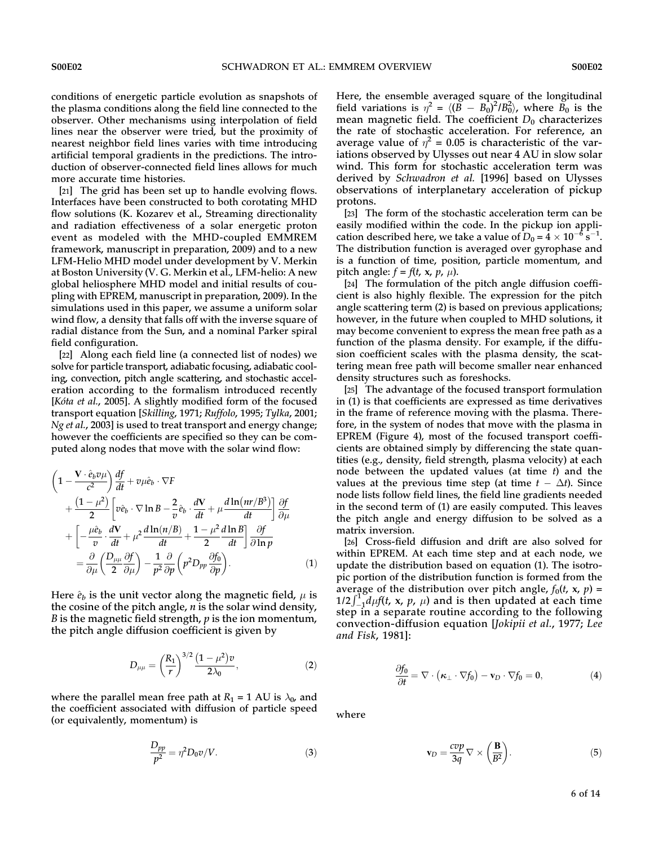conditions of energetic particle evolution as snapshots of the plasma conditions along the field line connected to the observer. Other mechanisms using interpolation of field lines near the observer were tried, but the proximity of nearest neighbor field lines varies with time introducing artificial temporal gradients in the predictions. The introduction of observer-connected field lines allows for much more accurate time histories.

[21] The grid has been set up to handle evolving flows. Interfaces have been constructed to both corotating MHD flow solutions (K. Kozarev et al., Streaming directionality and radiation effectiveness of a solar energetic proton event as modeled with the MHD-coupled EMMREM framework, manuscript in preparation, 2009) and to a new LFM-Helio MHD model under development by V. Merkin at Boston University (V. G. Merkin et al., LFM-helio: A new global heliosphere MHD model and initial results of coupling with EPREM, manuscript in preparation, 2009). In the simulations used in this paper, we assume a uniform solar wind flow, a density that falls off with the inverse square of radial distance from the Sun, and a nominal Parker spiral field configuration.

[22] Along each field line (a connected list of nodes) we solve for particle transport, adiabatic focusing, adiabatic cooling, convection, pitch angle scattering, and stochastic acceleration according to the formalism introduced recently [Kóta et al., 2005]. A slightly modified form of the focused transport equation [Skilling, 1971; Ruffolo, 1995; Tylka, 2001; Ng et al., 2003] is used to treat transport and energy change; however the coefficients are specified so they can be computed along nodes that move with the solar wind flow:

$$
\left(1 - \frac{\mathbf{V} \cdot \hat{e}_b v \mu}{c^2}\right) \frac{df}{dt} + v \mu \hat{e}_b \cdot \nabla F \n+ \frac{\left(1 - \mu^2\right)}{2} \left[ v \hat{e}_b \cdot \nabla \ln B - \frac{2}{v} \hat{e}_b \cdot \frac{d\mathbf{V}}{dt} + \mu \frac{d \ln\left(\frac{n r}{B^3}\right)}{dt} \right] \frac{\partial f}{\partial \mu} \n+ \left[ -\frac{\mu \hat{e}_b}{v} \cdot \frac{d\mathbf{V}}{dt} + \mu^2 \frac{d \ln\left(\frac{n}{B}\right)}{dt} + \frac{1 - \mu^2}{2} \frac{d \ln B}{dt} \right] \frac{\partial f}{\partial \ln p} \n= \frac{\partial}{\partial \mu} \left( \frac{D_{\mu\mu}}{2} \frac{\partial f}{\partial \mu} \right) - \frac{1}{p^2} \frac{\partial}{\partial p} \left( p^2 D_{pp} \frac{\partial f_0}{\partial p} \right).
$$
\n(1)

Here  $\hat{e}_b$  is the unit vector along the magnetic field,  $\mu$  is the cosine of the pitch angle,  $n$  is the solar wind density, *B* is the magnetic field strength,  $p$  is the ion momentum, the pitch angle diffusion coefficient is given by

$$
D_{\mu\mu} = \left(\frac{R_1}{r}\right)^{3/2} \frac{(1-\mu^2)v}{2\lambda_0},\tag{2}
$$

where the parallel mean free path at  $R_1 = 1$  AU is  $\lambda_0$ , and the coefficient associated with diffusion of particle speed (or equivalently, momentum) is

$$
\frac{D_{pp}}{p^2} = \eta^2 D_0 v / V. \tag{3}
$$

Here, the ensemble averaged square of the longitudinal field variations is  $\eta^2 = \langle (\vec{B} - B_0)^2 / B_0^2 \rangle$ , where  $\vec{B}_0$  is the mean magnetic field. The coefficient  $D_0$  characterizes the rate of stochastic acceleration. For reference, an average value of  $\eta^2 = 0.05$  is characteristic of the variations observed by Ulysses out near 4 AU in slow solar wind. This form for stochastic acceleration term was derived by Schwadron et al. [1996] based on Ulysses observations of interplanetary acceleration of pickup protons.

[23] The form of the stochastic acceleration term can be easily modified within the code. In the pickup ion application described here, we take a value of  $D_0 = 4 \times 10^{-6}$  s<sup>-1</sup>. The distribution function is averaged over gyrophase and is a function of time, position, particle momentum, and pitch angle:  $f = f(t, x, p, \mu)$ .

[24] The formulation of the pitch angle diffusion coefficient is also highly flexible. The expression for the pitch angle scattering term (2) is based on previous applications; however, in the future when coupled to MHD solutions, it may become convenient to express the mean free path as a function of the plasma density. For example, if the diffusion coefficient scales with the plasma density, the scattering mean free path will become smaller near enhanced density structures such as foreshocks.

[25] The advantage of the focused transport formulation in (1) is that coefficients are expressed as time derivatives in the frame of reference moving with the plasma. Therefore, in the system of nodes that move with the plasma in EPREM (Figure 4), most of the focused transport coefficients are obtained simply by differencing the state quantities (e.g., density, field strength, plasma velocity) at each node between the updated values (at time  $t$ ) and the values at the previous time step (at time  $t - \Delta t$ ). Since node lists follow field lines, the field line gradients needed in the second term of (1) are easily computed. This leaves the pitch angle and energy diffusion to be solved as a matrix inversion.

[26] Cross-field diffusion and drift are also solved for within EPREM. At each time step and at each node, we update the distribution based on equation (1). The isotropic portion of the distribution function is formed from the average of the distribution over pitch angle,  $f_0(t, x, p) =$ average of the distribution over pitch angle,  $f_0(t, x, p) =$ <br> $1/2 \int_{-1}^{1} d\mu f(t, x, p, \mu)$  and is then updated at each time step in a separate routine according to the following convection-diffusion equation [Jokipii et al., 1977; Lee and Fisk, 1981]:

$$
\frac{\partial f_0}{\partial t} = \nabla \cdot (\kappa_\perp \cdot \nabla f_0) - \mathbf{v}_D \cdot \nabla f_0 = 0, \tag{4}
$$

where

$$
\mathbf{v}_D = \frac{cvp}{3q} \nabla \times \left(\frac{\mathbf{B}}{B^2}\right).
$$
 (5)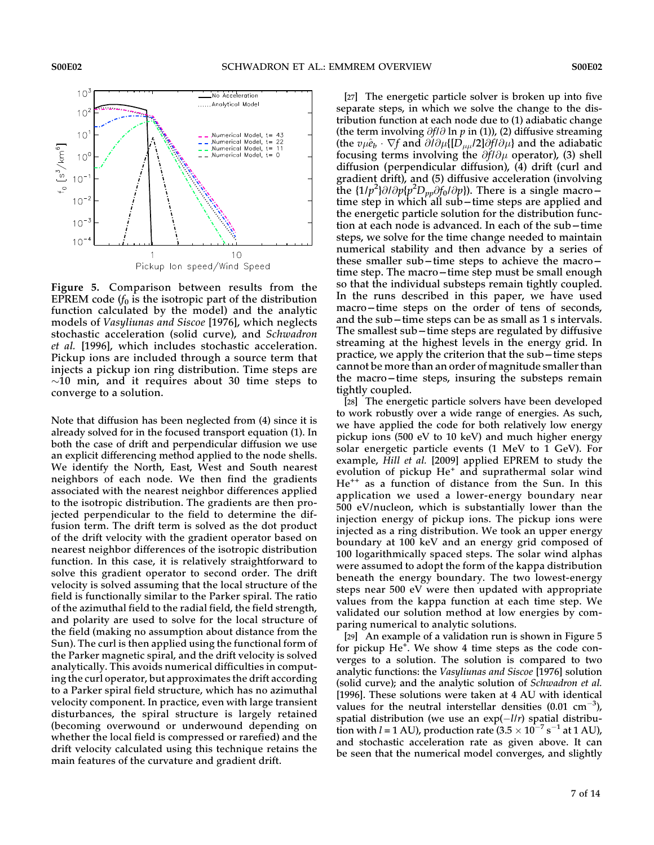

Figure 5. Comparison between results from the EPREM code  $(f_0$  is the isotropic part of the distribution function calculated by the model) and the analytic models of Vasyliunas and Siscoe [1976], which neglects stochastic acceleration (solid curve), and Schwadron et al. [1996], which includes stochastic acceleration. Pickup ions are included through a source term that injects a pickup ion ring distribution. Time steps are  $\sim$ 10 min, and it requires about 30 time steps to converge to a solution.

Note that diffusion has been neglected from (4) since it is already solved for in the focused transport equation (1). In both the case of drift and perpendicular diffusion we use an explicit differencing method applied to the node shells. We identify the North, East, West and South nearest neighbors of each node. We then find the gradients associated with the nearest neighbor differences applied to the isotropic distribution. The gradients are then projected perpendicular to the field to determine the diffusion term. The drift term is solved as the dot product of the drift velocity with the gradient operator based on nearest neighbor differences of the isotropic distribution function. In this case, it is relatively straightforward to solve this gradient operator to second order. The drift velocity is solved assuming that the local structure of the field is functionally similar to the Parker spiral. The ratio of the azimuthal field to the radial field, the field strength, and polarity are used to solve for the local structure of the field (making no assumption about distance from the Sun). The curl is then applied using the functional form of the Parker magnetic spiral, and the drift velocity is solved analytically. This avoids numerical difficulties in computing the curl operator, but approximates the drift according to a Parker spiral field structure, which has no azimuthal velocity component. In practice, even with large transient disturbances, the spiral structure is largely retained (becoming overwound or underwound depending on whether the local field is compressed or rarefied) and the drift velocity calculated using this technique retains the main features of the curvature and gradient drift.

[27] The energetic particle solver is broken up into five separate steps, in which we solve the change to the distribution function at each node due to (1) adiabatic change (the term involving  $\partial f/\partial \ln p$  in (1)), (2) diffusive streaming (the  $v\mu\hat{e}_b \cdot \nabla f$  and  $\partial/\partial \mu$ {[D<sub> $\mu\mu$ </sub>/2] $\partial f/\partial \mu$ } and the adiabatic focusing terms involving the  $\partial f/\partial \mu$  operator), (3) shell diffusion (perpendicular diffusion), (4) drift (curl and gradient drift), and (5) diffusive acceleration (involving the  $\{1/p^2\}\partial/\partial p\{p^2D_{pp}\partial f_0/\partial p\}$ ). There is a single macrotime step in which all sub-time steps are applied and the energetic particle solution for the distribution function at each node is advanced. In each of the sub-time steps, we solve for the time change needed to maintain numerical stability and then advance by a series of these smaller sub-time steps to achieve the macrotime step. The macro-time step must be small enough so that the individual substeps remain tightly coupled. In the runs described in this paper, we have used macro-time steps on the order of tens of seconds, and the sub  $-$  time steps can be as small as 1 s intervals. The smallest sub – time steps are regulated by diffusive streaming at the highest levels in the energy grid. In practice, we apply the criterion that the sub-time steps cannot be more than an order of magnitude smaller than the macro-time steps, insuring the substeps remain tightly coupled.

[28] The energetic particle solvers have been developed to work robustly over a wide range of energies. As such, we have applied the code for both relatively low energy pickup ions (500 eV to 10 keV) and much higher energy solar energetic particle events (1 MeV to 1 GeV). For example, Hill et al. [2009] applied EPREM to study the evolution of pickup He<sup>+</sup> and suprathermal solar wind  $He^{++}$  as a function of distance from the Sun. In this application we used a lower-energy boundary near 500 eV/nucleon, which is substantially lower than the injection energy of pickup ions. The pickup ions were injected as a ring distribution. We took an upper energy boundary at 100 keV and an energy grid composed of 100 logarithmically spaced steps. The solar wind alphas were assumed to adopt the form of the kappa distribution beneath the energy boundary. The two lowest-energy steps near 500 eV were then updated with appropriate values from the kappa function at each time step. We validated our solution method at low energies by comparing numerical to analytic solutions.

[29] An example of a validation run is shown in Figure 5 for pickup He<sup>+</sup>. We show 4 time steps as the code converges to a solution. The solution is compared to two analytic functions: the Vasyliunas and Siscoe [1976] solution (solid curve); and the analytic solution of Schwadron et al. [1996]. These solutions were taken at 4 AU with identical values for the neutral interstellar densities  $(0.01 \text{ cm}^{-3})$ , spatial distribution (we use an  $\exp(-l/r)$  spatial distribution with  $l = 1$  AU), production rate  $(3.5 \times 10^{-7} \text{ s}^{-1})$  at 1 AU), and stochastic acceleration rate as given above. It can be seen that the numerical model converges, and slightly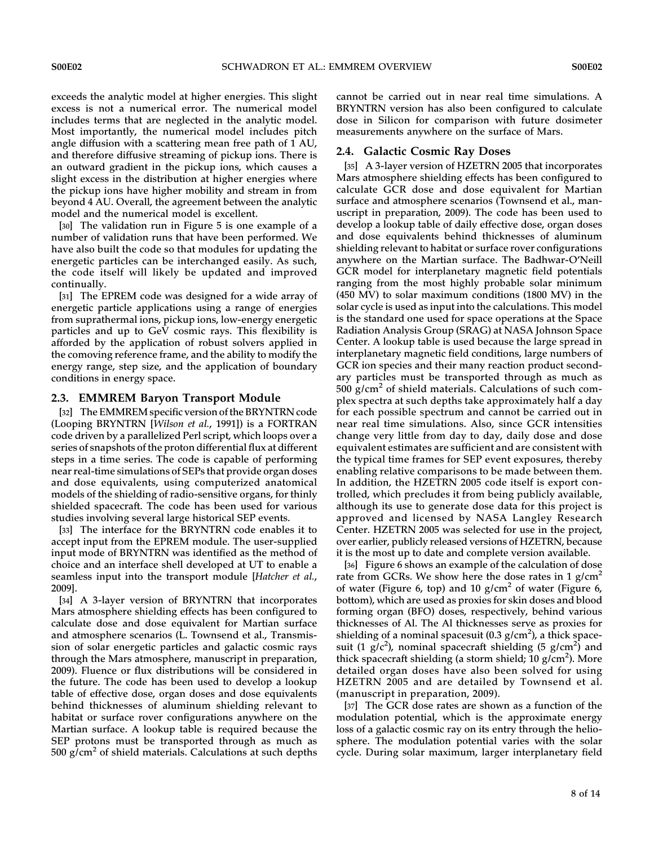exceeds the analytic model at higher energies. This slight excess is not a numerical error. The numerical model includes terms that are neglected in the analytic model. Most importantly, the numerical model includes pitch angle diffusion with a scattering mean free path of 1 AU, and therefore diffusive streaming of pickup ions. There is an outward gradient in the pickup ions, which causes a slight excess in the distribution at higher energies where the pickup ions have higher mobility and stream in from beyond 4 AU. Overall, the agreement between the analytic model and the numerical model is excellent.

[30] The validation run in Figure 5 is one example of a number of validation runs that have been performed. We have also built the code so that modules for updating the energetic particles can be interchanged easily. As such, the code itself will likely be updated and improved continually.

[31] The EPREM code was designed for a wide array of energetic particle applications using a range of energies from suprathermal ions, pickup ions, low-energy energetic particles and up to GeV cosmic rays. This flexibility is afforded by the application of robust solvers applied in the comoving reference frame, and the ability to modify the energy range, step size, and the application of boundary conditions in energy space.

## 2.3. EMMREM Baryon Transport Module

[32] The EMMREM specific version of the BRYNTRN code (Looping BRYNTRN [Wilson et al., 1991]) is a FORTRAN code driven by a parallelized Perl script, which loops over a series of snapshots of the proton differential flux at different steps in a time series. The code is capable of performing near real-time simulations of SEPs that provide organ doses and dose equivalents, using computerized anatomical models of the shielding of radio-sensitive organs, for thinly shielded spacecraft. The code has been used for various studies involving several large historical SEP events.

[33] The interface for the BRYNTRN code enables it to accept input from the EPREM module. The user-supplied input mode of BRYNTRN was identified as the method of choice and an interface shell developed at UT to enable a seamless input into the transport module [Hatcher et al., 2009].

[34] A 3-layer version of BRYNTRN that incorporates Mars atmosphere shielding effects has been configured to calculate dose and dose equivalent for Martian surface and atmosphere scenarios (L. Townsend et al., Transmission of solar energetic particles and galactic cosmic rays through the Mars atmosphere, manuscript in preparation, 2009). Fluence or flux distributions will be considered in the future. The code has been used to develop a lookup table of effective dose, organ doses and dose equivalents behind thicknesses of aluminum shielding relevant to habitat or surface rover configurations anywhere on the Martian surface. A lookup table is required because the SEP protons must be transported through as much as  $500$  g/cm<sup>2</sup> of shield materials. Calculations at such depths

cannot be carried out in near real time simulations. A BRYNTRN version has also been configured to calculate dose in Silicon for comparison with future dosimeter measurements anywhere on the surface of Mars.

## 2.4. Galactic Cosmic Ray Doses

[35] A 3-layer version of HZETRN 2005 that incorporates Mars atmosphere shielding effects has been configured to calculate GCR dose and dose equivalent for Martian surface and atmosphere scenarios (Townsend et al., manuscript in preparation, 2009). The code has been used to develop a lookup table of daily effective dose, organ doses and dose equivalents behind thicknesses of aluminum shielding relevant to habitat or surface rover configurations anywhere on the Martian surface. The Badhwar-O'Neill GCR model for interplanetary magnetic field potentials ranging from the most highly probable solar minimum (450 MV) to solar maximum conditions (1800 MV) in the solar cycle is used as input into the calculations. This model is the standard one used for space operations at the Space Radiation Analysis Group (SRAG) at NASA Johnson Space Center. A lookup table is used because the large spread in interplanetary magnetic field conditions, large numbers of GCR ion species and their many reaction product secondary particles must be transported through as much as  $500$  g/cm<sup>2</sup> of shield materials. Calculations of such complex spectra at such depths take approximately half a day for each possible spectrum and cannot be carried out in near real time simulations. Also, since GCR intensities change very little from day to day, daily dose and dose equivalent estimates are sufficient and are consistent with the typical time frames for SEP event exposures, thereby enabling relative comparisons to be made between them. In addition, the HZETRN 2005 code itself is export controlled, which precludes it from being publicly available, although its use to generate dose data for this project is approved and licensed by NASA Langley Research Center. HZETRN 2005 was selected for use in the project, over earlier, publicly released versions of HZETRN, because it is the most up to date and complete version available.

[36] Figure 6 shows an example of the calculation of dose rate from GCRs. We show here the dose rates in 1 g/cm<sup>2</sup> of water (Figure 6, top) and 10  $g/cm<sup>2</sup>$  of water (Figure 6, bottom), which are used as proxies for skin doses and blood forming organ (BFO) doses, respectively, behind various thicknesses of Al. The Al thicknesses serve as proxies for shielding of a nominal spacesuit (0.3 g/cm<sup>2</sup>), a thick spacesuit (1  $g/c<sup>2</sup>$ ), nominal spacecraft shielding (5  $g/cm<sup>2</sup>$ ) and thick spacecraft shielding (a storm shield; 10 g/cm<sup>2</sup>). More detailed organ doses have also been solved for using HZETRN 2005 and are detailed by Townsend et al. (manuscript in preparation, 2009).

[37] The GCR dose rates are shown as a function of the modulation potential, which is the approximate energy loss of a galactic cosmic ray on its entry through the heliosphere. The modulation potential varies with the solar cycle. During solar maximum, larger interplanetary field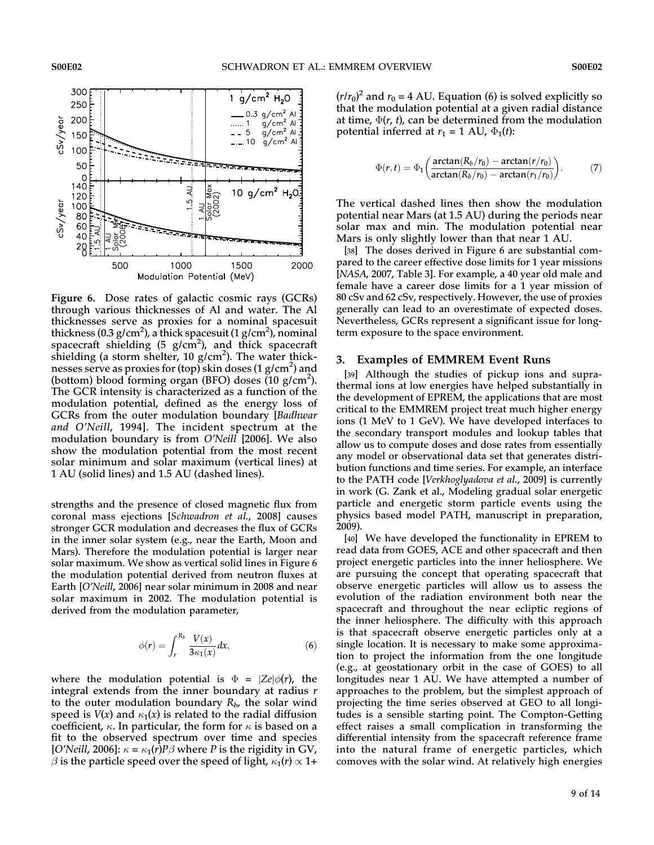

Figure 6. Dose rates of galactic cosmic rays (GCRs) through various thicknesses of Al and water. The Al thicknesses serve as proxies for a nominal spacesuit thickness (0.3 g/cm<sup>2</sup>), a thick spacesuit (1 g/cm<sup>2</sup>), nominal spacecraft shielding (5 g/cm<sup>2</sup>), and thick spacecraft shielding (a storm shelter, 10  $g/cm<sup>2</sup>$ ). The water thicknesses serve as proxies for (top) skin doses (1 g/cm<sup>2</sup>) and (bottom) blood forming organ (BFO) doses  $(10 \text{ g/cm}^2)$ . The GCR intensity is characterized as a function of the modulation potential, defined as the energy loss of GCRs from the outer modulation boundary [Badhwar and O'Neill, 1994]. The incident spectrum at the modulation boundary is from O'Neill [2006]. We also show the modulation potential from the most recent solar minimum and solar maximum (vertical lines) at 1 AU (solid lines) and 1.5 AU (dashed lines).

strengths and the presence of closed magnetic flux from coronal mass ejections [Schwadron et al., 2008] causes stronger GCR modulation and decreases the flux of GCRs in the inner solar system (e.g., near the Earth, Moon and Mars). Therefore the modulation potential is larger near solar maximum. We show as vertical solid lines in Figure 6 the modulation potential derived from neutron fluxes at Earth [O'Neill, 2006] near solar minimum in 2008 and near solar maximum in 2002. The modulation potential is derived from the modulation parameter,

$$
\phi(r) = \int_{r}^{R_b} \frac{V(x)}{3\kappa_1(x)} dx, \tag{6}
$$

where the modulation potential is  $\Phi = |Ze|\phi(r)$ , the integral extends from the inner boundary at radius  $r$ to the outer modulation boundary  $R_b$ , the solar wind speed is  $V(x)$  and  $\kappa_1(x)$  is related to the radial diffusion coefficient,  $\kappa$ . In particular, the form for  $\kappa$  is based on a fit to the observed spectrum over time and species [O'Neill, 2006]:  $\kappa = \kappa_1(r)P\beta$  where P is the rigidity in GV,  $\beta$  is the particle speed over the speed of light,  $\kappa_1(r) \propto 1+$ 

 $(r/r_0)^2$  and  $r_0 = 4$  AU. Equation (6) is solved explicitly so that the modulation potential at a given radial distance at time,  $\Phi(r, t)$ , can be determined from the modulation potential inferred at  $r_1 = 1$  AU,  $\Phi_1(t)$ :

$$
\Phi(r,t) = \Phi_1 \bigg( \frac{\arctan(R_b/r_0) - \arctan(r/r_0)}{\arctan(R_b/r_0) - \arctan(r_1/r_0)} \bigg). \tag{7}
$$

The vertical dashed lines then show the modulation potential near Mars (at 1.5 AU) during the periods near solar max and min. The modulation potential near Mars is only slightly lower than that near 1 AU.

[38] The doses derived in Figure 6 are substantial compared to the career effective dose limits for 1 year missions [NASA, 2007, Table 3]. For example, a 40 year old male and female have a career dose limits for a 1 year mission of 80 cSv and 62 cSv, respectively. However, the use of proxies generally can lead to an overestimate of expected doses. Nevertheless, GCRs represent a significant issue for longterm exposure to the space environment.

#### 3. Examples of EMMREM Event Runs

[39] Although the studies of pickup ions and suprathermal ions at low energies have helped substantially in the development of EPREM, the applications that are most critical to the EMMREM project treat much higher energy ions (1 MeV to 1 GeV). We have developed interfaces to the secondary transport modules and lookup tables that allow us to compute doses and dose rates from essentially any model or observational data set that generates distribution functions and time series. For example, an interface to the PATH code [Verkhoglyadova et al., 2009] is currently in work (G. Zank et al., Modeling gradual solar energetic particle and energetic storm particle events using the physics based model PATH, manuscript in preparation, 2009).

[40] We have developed the functionality in EPREM to read data from GOES, ACE and other spacecraft and then project energetic particles into the inner heliosphere. We are pursuing the concept that operating spacecraft that observe energetic particles will allow us to assess the evolution of the radiation environment both near the spacecraft and throughout the near ecliptic regions of the inner heliosphere. The difficulty with this approach is that spacecraft observe energetic particles only at a single location. It is necessary to make some approximation to project the information from the one longitude (e.g., at geostationary orbit in the case of GOES) to all longitudes near 1 AU. We have attempted a number of approaches to the problem, but the simplest approach of projecting the time series observed at GEO to all longitudes is a sensible starting point. The Compton-Getting effect raises a small complication in transforming the differential intensity from the spacecraft reference frame into the natural frame of energetic particles, which comoves with the solar wind. At relatively high energies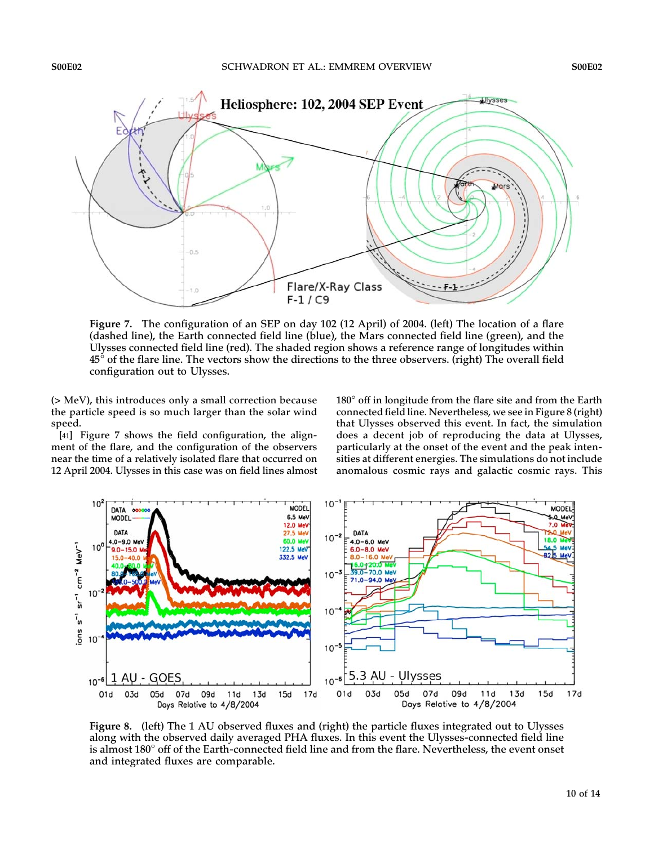

Figure 7. The configuration of an SEP on day 102 (12 April) of 2004. (left) The location of a flare (dashed line), the Earth connected field line (blue), the Mars connected field line (green), and the Ulysses connected field line (red). The shaded region shows a reference range of longitudes within  $45^{\circ}$  of the flare line. The vectors show the directions to the three observers. (right) The overall field configuration out to Ulysses.

(> MeV), this introduces only a small correction because the particle speed is so much larger than the solar wind speed.

[41] Figure 7 shows the field configuration, the alignment of the flare, and the configuration of the observers near the time of a relatively isolated flare that occurred on 12 April 2004. Ulysses in this case was on field lines almost

 $180^\circ$  off in longitude from the flare site and from the Earth connected field line. Nevertheless, we see in Figure 8 (right) that Ulysses observed this event. In fact, the simulation does a decent job of reproducing the data at Ulysses, particularly at the onset of the event and the peak intensities at different energies. The simulations do not include anomalous cosmic rays and galactic cosmic rays. This



Figure 8. (left) The 1 AU observed fluxes and (right) the particle fluxes integrated out to Ulysses along with the observed daily averaged PHA fluxes. In this event the Ulysses-connected field line is almost 180 $^{\circ}$  off of the Earth-connected field line and from the flare. Nevertheless, the event onset and integrated fluxes are comparable.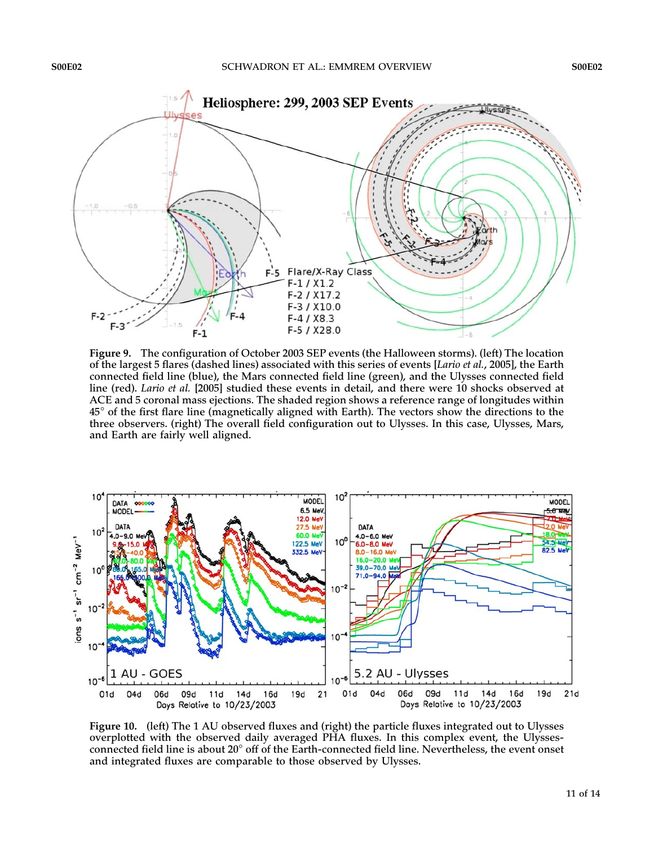

Figure 9. The configuration of October 2003 SEP events (the Halloween storms). (left) The location of the largest 5 flares (dashed lines) associated with this series of events [Lario et al., 2005], the Earth connected field line (blue), the Mars connected field line (green), and the Ulysses connected field line (red). Lario et al. [2005] studied these events in detail, and there were 10 shocks observed at ACE and 5 coronal mass ejections. The shaded region shows a reference range of longitudes within  $45^{\circ}$  of the first flare line (magnetically aligned with Earth). The vectors show the directions to the three observers. (right) The overall field configuration out to Ulysses. In this case, Ulysses, Mars, and Earth are fairly well aligned.



Figure 10. (left) The 1 AU observed fluxes and (right) the particle fluxes integrated out to Ulysses overplotted with the observed daily averaged PHA fluxes. In this complex event, the Ulyssesconnected field line is about 20 $^{\circ}$  off of the Earth-connected field line. Nevertheless, the event onset and integrated fluxes are comparable to those observed by Ulysses.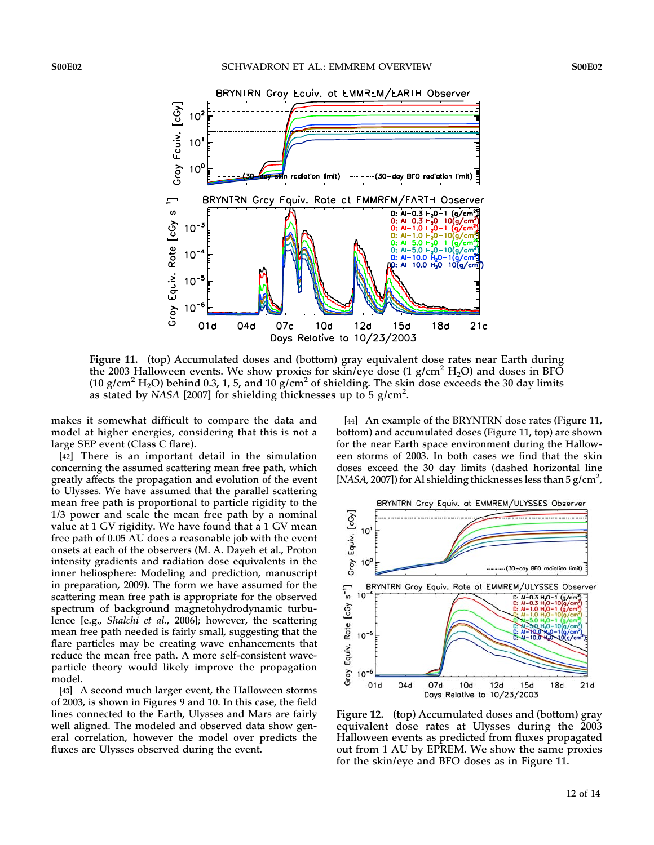

Figure 11. (top) Accumulated doses and (bottom) gray equivalent dose rates near Earth during the 2003 Halloween events. We show proxies for skin/eye dose  $(1 \text{ g/cm}^2 \text{ H}_2\text{O})$  and doses in BFO (10 g/cm<sup>2</sup> H<sub>2</sub>O) behind 0.3, 1, 5, and 10 g/cm<sup>2</sup> of shielding. The skin dose exceeds the 30 day limits as stated by NASA [2007] for shielding thicknesses up to 5 g/cm<sup>2</sup>.

makes it somewhat difficult to compare the data and model at higher energies, considering that this is not a large SEP event (Class C flare).

[42] There is an important detail in the simulation concerning the assumed scattering mean free path, which greatly affects the propagation and evolution of the event to Ulysses. We have assumed that the parallel scattering mean free path is proportional to particle rigidity to the 1/3 power and scale the mean free path by a nominal value at 1 GV rigidity. We have found that a 1 GV mean free path of 0.05 AU does a reasonable job with the event onsets at each of the observers (M. A. Dayeh et al., Proton intensity gradients and radiation dose equivalents in the inner heliosphere: Modeling and prediction, manuscript in preparation, 2009). The form we have assumed for the scattering mean free path is appropriate for the observed spectrum of background magnetohydrodynamic turbulence [e.g., Shalchi et al., 2006]; however, the scattering mean free path needed is fairly small, suggesting that the flare particles may be creating wave enhancements that reduce the mean free path. A more self-consistent waveparticle theory would likely improve the propagation model.

[43] A second much larger event, the Halloween storms of 2003, is shown in Figures 9 and 10. In this case, the field lines connected to the Earth, Ulysses and Mars are fairly well aligned. The modeled and observed data show general correlation, however the model over predicts the fluxes are Ulysses observed during the event.

[44] An example of the BRYNTRN dose rates (Figure 11, bottom) and accumulated doses (Figure 11, top) are shown for the near Earth space environment during the Halloween storms of 2003. In both cases we find that the skin doses exceed the 30 day limits (dashed horizontal line [NASA, 2007]) for Al shielding thicknesses less than 5  $g/cm<sup>2</sup>$ ,



Figure 12. (top) Accumulated doses and (bottom) gray equivalent dose rates at Ulysses during the 2003 Halloween events as predicted from fluxes propagated out from 1 AU by EPREM. We show the same proxies for the skin/eye and BFO doses as in Figure 11.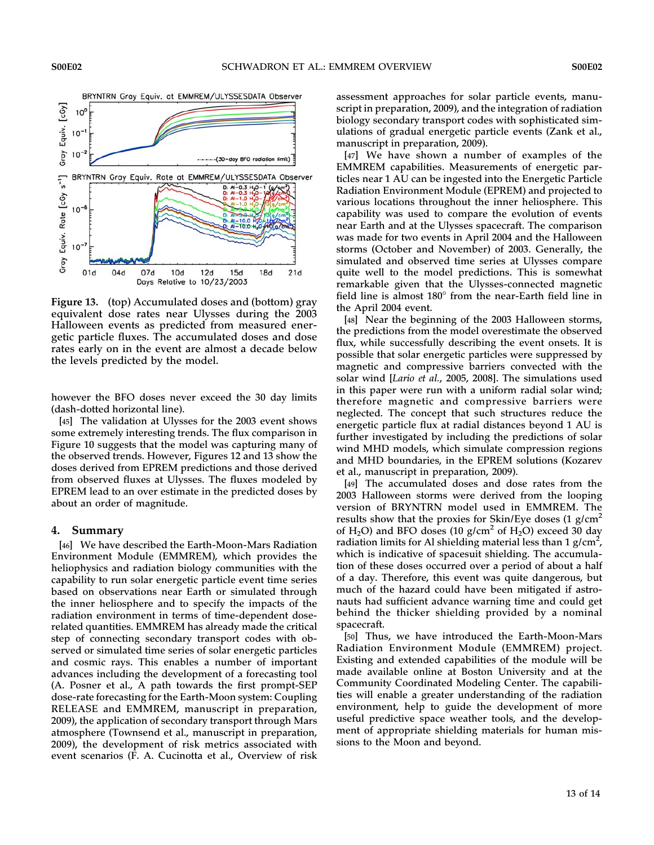

Figure 13. (top) Accumulated doses and (bottom) gray equivalent dose rates near Ulysses during the 2003 Halloween events as predicted from measured energetic particle fluxes. The accumulated doses and dose rates early on in the event are almost a decade below the levels predicted by the model.

however the BFO doses never exceed the 30 day limits (dash-dotted horizontal line).

[45] The validation at Ulysses for the 2003 event shows some extremely interesting trends. The flux comparison in Figure 10 suggests that the model was capturing many of the observed trends. However, Figures 12 and 13 show the doses derived from EPREM predictions and those derived from observed fluxes at Ulysses. The fluxes modeled by EPREM lead to an over estimate in the predicted doses by about an order of magnitude.

#### 4. Summary

[46] We have described the Earth-Moon-Mars Radiation Environment Module (EMMREM), which provides the heliophysics and radiation biology communities with the capability to run solar energetic particle event time series based on observations near Earth or simulated through the inner heliosphere and to specify the impacts of the radiation environment in terms of time-dependent doserelated quantities. EMMREM has already made the critical step of connecting secondary transport codes with observed or simulated time series of solar energetic particles and cosmic rays. This enables a number of important advances including the development of a forecasting tool (A. Posner et al., A path towards the first prompt-SEP dose-rate forecasting for the Earth-Moon system: Coupling RELEASE and EMMREM, manuscript in preparation, 2009), the application of secondary transport through Mars atmosphere (Townsend et al., manuscript in preparation, 2009), the development of risk metrics associated with event scenarios (F. A. Cucinotta et al., Overview of risk assessment approaches for solar particle events, manuscript in preparation, 2009), and the integration of radiation biology secondary transport codes with sophisticated simulations of gradual energetic particle events (Zank et al., manuscript in preparation, 2009).

[47] We have shown a number of examples of the EMMREM capabilities. Measurements of energetic particles near 1 AU can be ingested into the Energetic Particle Radiation Environment Module (EPREM) and projected to various locations throughout the inner heliosphere. This capability was used to compare the evolution of events near Earth and at the Ulysses spacecraft. The comparison was made for two events in April 2004 and the Halloween storms (October and November) of 2003. Generally, the simulated and observed time series at Ulysses compare quite well to the model predictions. This is somewhat remarkable given that the Ulysses-connected magnetic field line is almost  $180^\circ$  from the near-Earth field line in the April 2004 event.

[48] Near the beginning of the 2003 Halloween storms, the predictions from the model overestimate the observed flux, while successfully describing the event onsets. It is possible that solar energetic particles were suppressed by magnetic and compressive barriers convected with the solar wind [Lario et al., 2005, 2008]. The simulations used in this paper were run with a uniform radial solar wind; therefore magnetic and compressive barriers were neglected. The concept that such structures reduce the energetic particle flux at radial distances beyond 1 AU is further investigated by including the predictions of solar wind MHD models, which simulate compression regions and MHD boundaries, in the EPREM solutions (Kozarev et al., manuscript in preparation, 2009).

[49] The accumulated doses and dose rates from the 2003 Halloween storms were derived from the looping version of BRYNTRN model used in EMMREM. The results show that the proxies for Skin/Eye doses (1 g/cm<sup>2</sup> of H<sub>2</sub>O) and BFO doses (10 g/cm<sup>2</sup> of H<sub>2</sub>O) exceed 30 day radiation limits for Al shielding material less than 1 g/cm $^2$ , which is indicative of spacesuit shielding. The accumulation of these doses occurred over a period of about a half of a day. Therefore, this event was quite dangerous, but much of the hazard could have been mitigated if astronauts had sufficient advance warning time and could get behind the thicker shielding provided by a nominal spacecraft.

[50] Thus, we have introduced the Earth-Moon-Mars Radiation Environment Module (EMMREM) project. Existing and extended capabilities of the module will be made available online at Boston University and at the Community Coordinated Modeling Center. The capabilities will enable a greater understanding of the radiation environment, help to guide the development of more useful predictive space weather tools, and the development of appropriate shielding materials for human missions to the Moon and beyond.